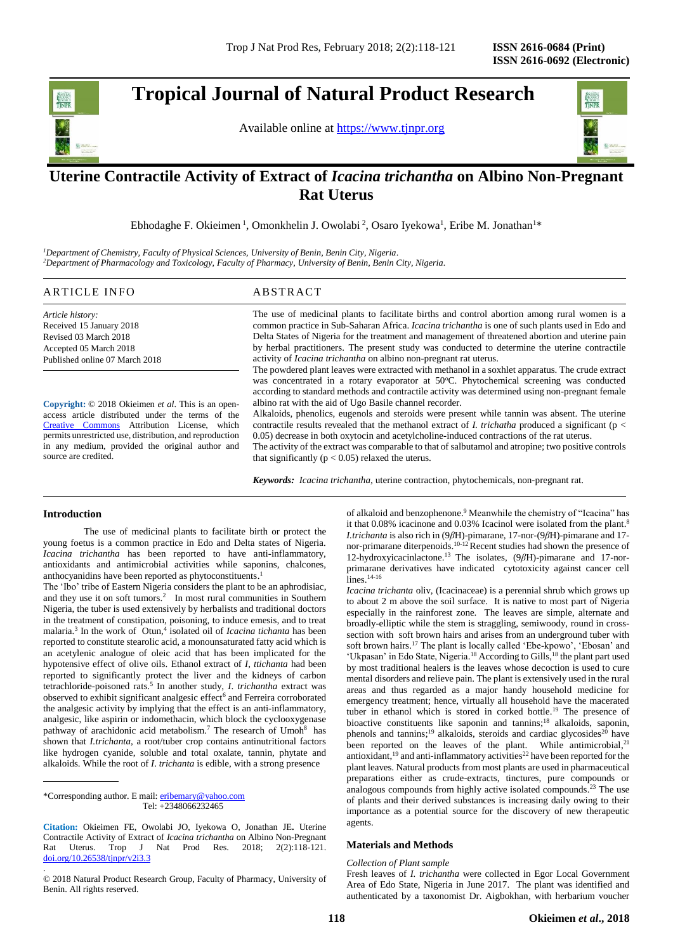# **Tropical Journal of Natural Product Research**

Available online at [https://www.tjnpr.org](https://www.tjnpr.org/)



# . **Uterine Contractile Activity of Extract of** *Icacina trichantha* **on Albino Non-Pregnant Rat Uterus**

Ebhodaghe F. Okieimen<sup>1</sup>, Omonkhelin J. Owolabi<sup>2</sup>, Osaro Iyekowa<sup>1</sup>, Eribe M. Jonathan<sup>1\*</sup>

*<sup>1</sup>Department of Chemistry, Faculty of Physical Sciences, University of Benin, Benin City, Nigeria*. *<sup>2</sup>Department of Pharmacology and Toxicology, Faculty of Pharmacy, University of Benin, Benin City, Nigeria.*

# ARTICLE INFO ABSTRACT

*Article history:* Received 15 January 2018 Revised 03 March 2018 Accepted 05 March 2018 Published online 07 March 2018

**Copyright:** © 2018 Okieimen *et al*. This is an openaccess article distributed under the terms of the [Creative Commons](https://creativecommons.org/licenses/by/4.0/) Attribution License, which permits unrestricted use, distribution, and reproduction in any medium, provided the original author and source are credited.

The use of medicinal plants to facilitate births and control abortion among rural women is a common practice in Sub-Saharan Africa. *Icacina trichantha* is one of such plants used in Edo and Delta States of Nigeria for the treatment and management of threatened abortion and uterine pain by herbal practitioners. The present study was conducted to determine the uterine contractile activity of *Icacina trichantha* on albino non-pregnant rat uterus.

The powdered plant leaves were extracted with methanol in a soxhlet apparatus. The crude extract was concentrated in a rotary evaporator at 50°C. Phytochemical screening was conducted according to standard methods and contractile activity was determined using non-pregnant female albino rat with the aid of Ugo Basile channel recorder.

Alkaloids, phenolics, eugenols and steroids were present while tannin was absent. The uterine contractile results revealed that the methanol extract of *I. trichatha* produced a significant (p < 0.05) decrease in both oxytocin and acetylcholine-induced contractions of the rat uterus.

The activity of the extract was comparable to that of salbutamol and atropine; two positive controls that significantly ( $p < 0.05$ ) relaxed the uterus.

*Keywords: Icacina trichantha,* uterine contraction, phytochemicals, non-pregnant rat.

# **Introduction**

.

The use of medicinal plants to facilitate birth or protect the young foetus is a common practice in Edo and Delta states of Nigeria. *Icacina trichantha* has been reported to have anti-inflammatory, antioxidants and antimicrobial activities while saponins, chalcones, anthocyanidins have been reported as phytoconstituents. 1

The 'Ibo' tribe of Eastern Nigeria considers the plant to be an aphrodisiac, and they use it on soft tumors. 2 In most rural communities in Southern Nigeria, the tuber is used extensively by herbalists and traditional doctors in the treatment of constipation, poisoning, to induce emesis, and to treat malaria. 3 In the work of Otun, 4 isolated oil of *Icacina tichanta* has been reported to constitute stearolic acid, a monounsaturated fatty acid which is an acetylenic analogue of oleic acid that has been implicated for the hypotensive effect of olive oils. Ethanol extract of *I, ttichanta* had been reported to significantly protect the liver and the kidneys of carbon tetrachloride-poisoned rats. 5 In another study, *I*. *trichantha* extract was observed to exhibit significant analgesic effect<sup>6</sup> and Ferreira corroborated the analgesic activity by implying that the effect is an anti-inflammatory, analgesic, like aspirin or indomethacin, which block the cyclooxygenase pathway of arachidonic acid metabolism.<sup>7</sup> The research of Umoh<sup>8</sup> has shown that *I.trichanta*, a root/tuber crop contains antinutritional factors like hydrogen cyanide, soluble and total oxalate, tannin, phytate and alkaloids. While the root of *I*. *trichanta* is edible, with a strong presence

\*Corresponding author. E mail[: eribemary@yahoo.com](mailto:eribemary@yahoo.com) Tel: +2348066232465

© 2018 Natural Product Research Group, Faculty of Pharmacy, University of Benin. All rights reserved.

of alkaloid and benzophenone. <sup>9</sup> Meanwhile the chemistry of "Icacina" has it that 0.08% icacinone and 0.03% Icacinol were isolated from the plant.<sup>8</sup> *I.trichanta* is also rich in (9*β*H)-pimarane, 17-nor-(9*β*H)-pimarane and 17 nor-primarane diterpenoids.<sup>10-12</sup> Recent studies had shown the presence of 12-hydroxyicacinlactone. <sup>13</sup> The isolates, (9*β*H)-pimarane and 17-norprimarane derivatives have indicated cytotoxicity against cancer cell lines. 14-16

*Icacina trichanta* oliv, (Icacinaceae) is a perennial shrub which grows up to about 2 m above the soil surface. It is native to most part of Nigeria especially in the rainforest zone. The leaves are simple, alternate and broadly-elliptic while the stem is straggling, semiwoody, round in crosssection with soft brown hairs and arises from an underground tuber with soft brown hairs. <sup>17</sup> The plant is locally called 'Ebe-kpowo', 'Ebosan' and 'Ukpasan' in Edo State, Nigeria.<sup>18</sup> According to Gills,<sup>18</sup> the plant part used by most traditional healers is the leaves whose decoction is used to cure mental disorders and relieve pain. The plant is extensively used in the rural areas and thus regarded as a major handy household medicine for emergency treatment; hence, virtually all household have the macerated tuber in ethanol which is stored in corked bottle. <sup>19</sup> The presence of bioactive constituents like saponin and tannins; <sup>18</sup> alkaloids, saponin, phenols and tannins;<sup>19</sup> alkaloids, steroids and cardiac glycosides<sup>20</sup> have been reported on the leaves of the plant. While antimicrobial,<sup>21</sup> antioxidant,  $19$  and anti-inflammatory activities<sup>22</sup> have been reported for the plant leaves. Natural products from most plants are used in pharmaceutical preparations either as crude-extracts, tinctures, pure compounds or analogous compounds from highly active isolated compounds. <sup>23</sup> The use of plants and their derived substances is increasing daily owing to their importance as a potential source for the discovery of new therapeutic agents.

# **Materials and Methods**

#### *Collection of Plant sample*

Fresh leaves of *I. trichantha* were collected in Egor Local Government Area of Edo State, Nigeria in June 2017. The plant was identified and authenticated by a taxonomist Dr. Aigbokhan, with herbarium voucher

**Citation:** Okieimen FE, Owolabi JO, Iyekowa O, Jonathan JE**.** Uterine Contractile Activity of Extract of *Icacina trichantha* on Albino Non-Pregnant Rat Uterus. Trop J Nat Prod Res. 2018; 2(2):118-121. [doi.org/10.26538/tjnpr/v2i3.3](http://www.doi.org/10.26538/tjnpr/v1i4.5)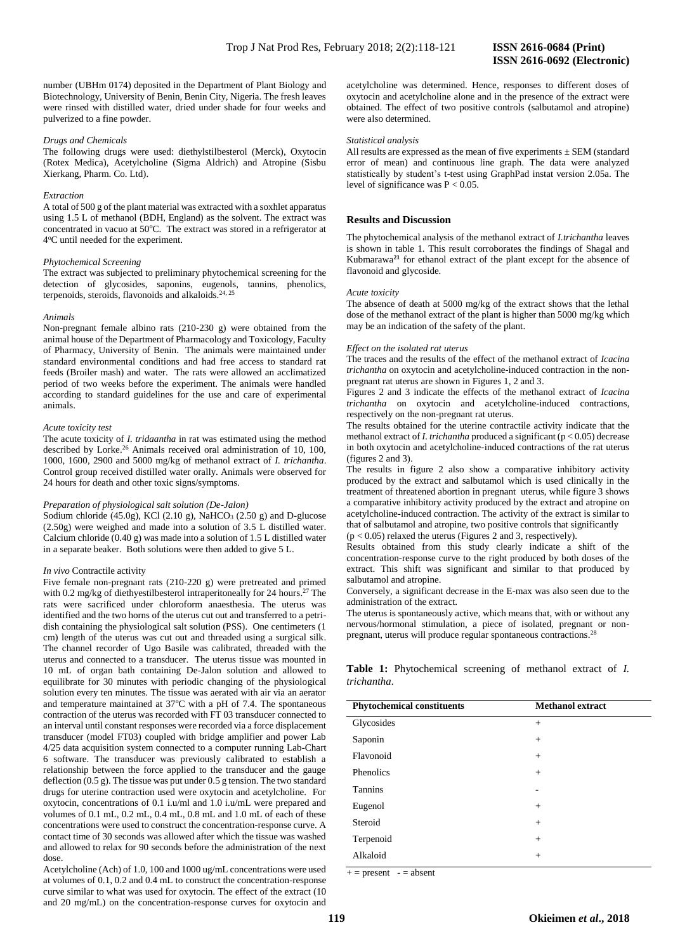number (UBHm 0174) deposited in the Department of Plant Biology and Biotechnology, University of Benin, Benin City, Nigeria. The fresh leaves were rinsed with distilled water, dried under shade for four weeks and pulverized to a fine powder.

# *Drugs and Chemicals*

The following drugs were used: diethylstilbesterol (Merck), Oxytocin (Rotex Medica), Acetylcholine (Sigma Aldrich) and Atropine (Sisbu Xierkang, Pharm. Co. Ltd).

#### *Extraction*

A total of 500 g of the plant material was extracted with a soxhlet apparatus using 1.5 L of methanol (BDH, England) as the solvent. The extract was concentrated in vacuo at 50°C. The extract was stored in a refrigerator at 4 <sup>o</sup>C until needed for the experiment.

# *Phytochemical Screening*

The extract was subjected to preliminary phytochemical screening for the detection of glycosides, saponins, eugenols, tannins, phenolics, terpenoids, steroids, flavonoids and alkaloids.<sup>24, 25</sup>

# *Animals*

Non-pregnant female albino rats (210-230 g) were obtained from the animal house of the Department of Pharmacology and Toxicology, Faculty of Pharmacy, University of Benin. The animals were maintained under standard environmental conditions and had free access to standard rat feeds (Broiler mash) and water. The rats were allowed an acclimatized period of two weeks before the experiment. The animals were handled according to standard guidelines for the use and care of experimental animals.

#### *Acute toxicity test*

The acute toxicity of *I. tridaantha* in rat was estimated using the method described by Lorke. <sup>26</sup> Animals received oral administration of 10, 100, 1000, 1600, 2900 and 5000 mg/kg of methanol extract of *I. trichantha*. Control group received distilled water orally. Animals were observed for 24 hours for death and other toxic signs/symptoms.

# *Preparation of physiological salt solution (De-Jalon)*

Sodium chloride (45.0g), KCl (2.10 g), NaHCO<sub>3</sub> (2.50 g) and D-glucose (2.50g) were weighed and made into a solution of 3.5 L distilled water. Calcium chloride (0.40 g) was made into a solution of 1.5 L distilled water in a separate beaker. Both solutions were then added to give 5 L.

# *In vivo* Contractile activity

Five female non-pregnant rats (210-220 g) were pretreated and primed with 0.2 mg/kg of diethyestilbesterol intraperitoneally for 24 hours.<sup>27</sup> The rats were sacrificed under chloroform anaesthesia. The uterus was identified and the two horns of the uterus cut out and transferred to a petridish containing the physiological salt solution (PSS). One centimeters (1 cm) length of the uterus was cut out and threaded using a surgical silk. The channel recorder of Ugo Basile was calibrated, threaded with the uterus and connected to a transducer. The uterus tissue was mounted in 10 mL of organ bath containing De-Jalon solution and allowed to equilibrate for 30 minutes with periodic changing of the physiological solution every ten minutes. The tissue was aerated with air via an aerator and temperature maintained at  $37^{\circ}$ C with a pH of 7.4. The spontaneous contraction of the uterus was recorded with FT 03 transducer connected to an interval until constant responses were recorded via a force displacement transducer (model FT03) coupled with bridge amplifier and power Lab 4/25 data acquisition system connected to a computer running Lab-Chart 6 software. The transducer was previously calibrated to establish a relationship between the force applied to the transducer and the gauge deflection (0.5 g). The tissue was put under 0.5 g tension. The two standard drugs for uterine contraction used were oxytocin and acetylcholine. For oxytocin, concentrations of 0.1 i.u/ml and 1.0 i.u/mL were prepared and volumes of 0.1 mL, 0.2 mL, 0.4 mL, 0.8 mL and 1.0 mL of each of these concentrations were used to construct the concentration-response curve. A contact time of 30 seconds was allowed after which the tissue was washed and allowed to relax for 90 seconds before the administration of the next dose.

Acetylcholine (Ach) of 1.0, 100 and 1000 ug/mL concentrations were used at volumes of 0.1, 0.2 and 0.4 mL to construct the concentration-response curve similar to what was used for oxytocin. The effect of the extract (10 and 20 mg/mL) on the concentration-response curves for oxytocin and

acetylcholine was determined. Hence, responses to different doses of oxytocin and acetylcholine alone and in the presence of the extract were obtained. The effect of two positive controls (salbutamol and atropine) were also determined.

#### *Statistical analysis*

All results are expressed as the mean of five experiments  $\pm$  SEM (standard error of mean) and continuous line graph. The data were analyzed statistically by student's t-test using GraphPad instat version 2.05a. The level of significance was  $P < 0.05$ .

# **Results and Discussion**

The phytochemical analysis of the methanol extract of *I.trichantha* leaves is shown in table 1. This result corroborates the findings of Shagal and Kubmarawa**<sup>21</sup>** for ethanol extract of the plant except for the absence of flavonoid and glycoside.

# *Acute toxicity*

The absence of death at 5000 mg/kg of the extract shows that the lethal dose of the methanol extract of the plant is higher than 5000 mg/kg which may be an indication of the safety of the plant.

# *Effect on the isolated rat uterus*

The traces and the results of the effect of the methanol extract of *Icacina trichantha* on oxytocin and acetylcholine-induced contraction in the nonpregnant rat uterus are shown in Figures 1, 2 and 3.

Figures 2 and 3 indicate the effects of the methanol extract of *Icacina trichantha* on oxytocin and acetylcholine-induced contractions, respectively on the non-pregnant rat uterus.

The results obtained for the uterine contractile activity indicate that the methanol extract of *I. trichantha* produced a significant (p < 0.05) decrease in both oxytocin and acetylcholine-induced contractions of the rat uterus (figures 2 and 3).

The results in figure 2 also show a comparative inhibitory activity produced by the extract and salbutamol which is used clinically in the treatment of threatened abortion in pregnant uterus, while figure 3 shows a comparative inhibitory activity produced by the extract and atropine on acetylcholine-induced contraction. The activity of the extract is similar to that of salbutamol and atropine, two positive controls that significantly  $(p < 0.05)$  relaxed the uterus (Figures 2 and 3, respectively).

Results obtained from this study clearly indicate a shift of the concentration-response curve to the right produced by both doses of the extract. This shift was significant and similar to that produced by salbutamol and atropine.

Conversely, a significant decrease in the E-max was also seen due to the administration of the extract.

The uterus is spontaneously active, which means that, with or without any nervous/hormonal stimulation, a piece of isolated, pregnant or nonpregnant, uterus will produce regular spontaneous contractions.<sup>28</sup>

**Table 1:** Phytochemical screening of methanol extract of *I. trichantha.*

| <b>Phytochemical constituents</b> | <b>Methanol extract</b> |
|-----------------------------------|-------------------------|
| Glycosides                        | $+$                     |
| Saponin                           | $^{+}$                  |
| Flavonoid                         | $^{+}$                  |
| Phenolics                         | $+$                     |
| <b>Tannins</b>                    | ٠                       |
| Eugenol                           | $^{+}$                  |
| Steroid                           | $+$                     |
| Terpenoid                         | $+$                     |
| Alkaloid                          | $+$                     |

 $+=$  present  $=$  absent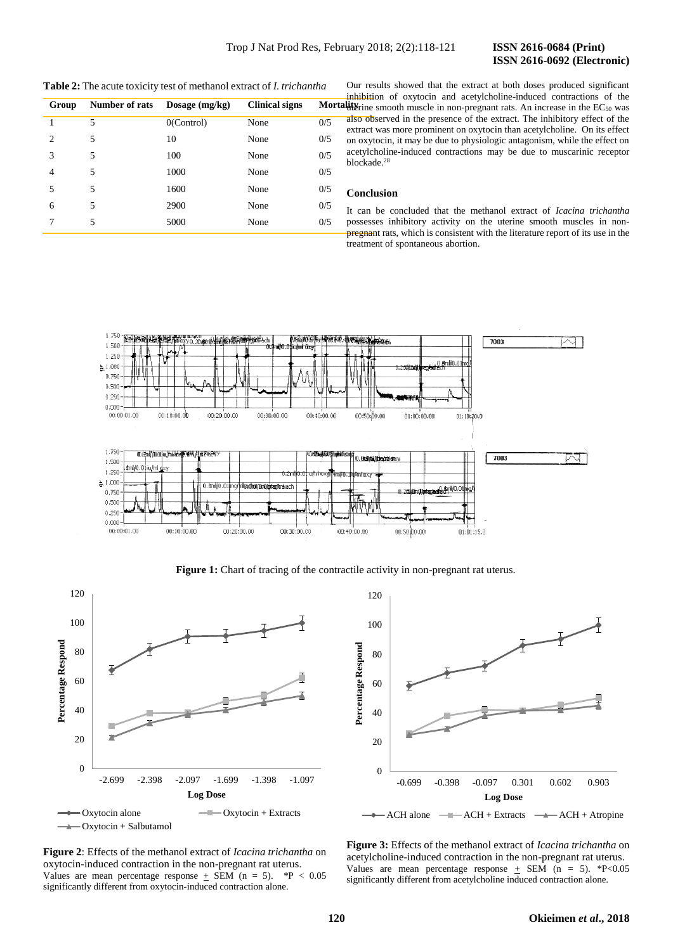**Table 2:** The acute toxicity test of methanol extract of *I. trichantha*

| Group          | Number of rats | Dosage $(mg/kg)$ | <b>Clinical signs</b> | ınn<br>Mortality  |
|----------------|----------------|------------------|-----------------------|-------------------|
|                | 5              | $0$ (Control)    | None                  | als<br>0/5<br>ext |
| $\overline{c}$ | 5              | 10               | None                  | 0/5<br>on         |
| 3              | 5              | 100              | None                  | ace<br>0/5<br>blc |
| 4              | 5              | 1000             | None                  | 0/5               |
| 5              | 5              | 1600             | None                  | 0/5<br>Cα         |
| 6              | 5              | 2900             | None                  | 0/5<br>It -       |
|                | 5              | 5000             | None                  | 0/5<br>po:<br>pre |

Our results showed that the extract at both doses produced significant inhibition of oxytocin and acetylcholine-induced contractions of the  $u$ it $v$ rine smooth muscle in non-pregnant rats. An increase in the EC<sub>50</sub> was also observed in the presence of the extract. The inhibitory effect of the extract was more prominent on oxytocin than acetylcholine. On its effect on oxytocin, it may be due to physiologic antagonism, while the effect on acetylcholine-induced contractions may be due to muscarinic receptor blockade. 28

# **Conclusion**

It can be concluded that the methanol extract of *Icacina trichantha*  possesses inhibitory activity on the uterine smooth muscles in nonpregnant rats, which is consistent with the literature report of its use in the treatment of spontaneous abortion.



**Figure 1:** Chart of tracing of the contractile activity in non-pregnant rat uterus.



**Figure 2**: Effects of the methanol extract of *Icacina trichantha* on oxytocin-induced contraction in the non-pregnant rat uterus. Values are mean percentage response  $\pm$  SEM (n = 5). \*P < 0.05 significantly different from oxytocin-induced contraction alone.



**Figure 3:** Effects of the methanol extract of *Icacina trichantha* on acetylcholine-induced contraction in the non-pregnant rat uterus. Values are mean percentage response  $\pm$  SEM (n = 5). \*P<0.05 significantly different from acetylcholine induced contraction alone.